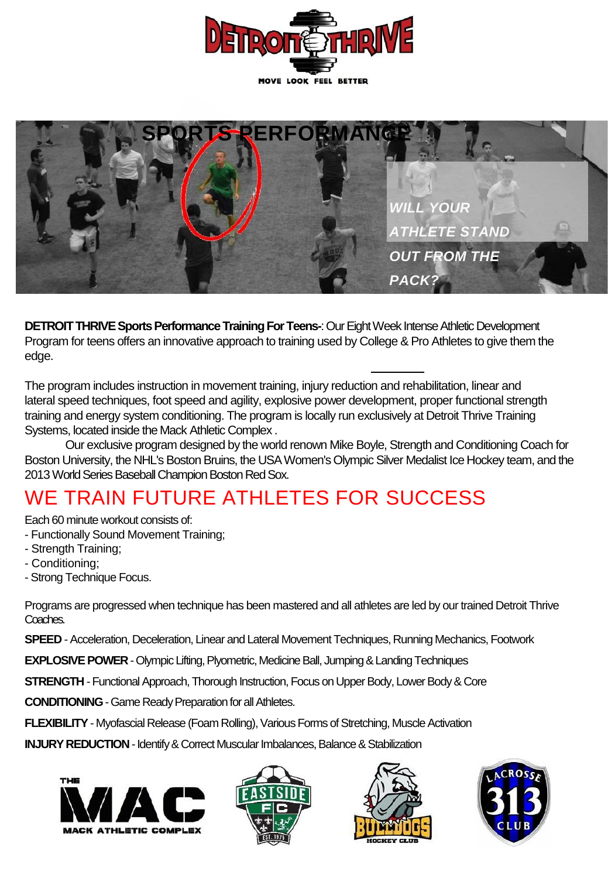



**DETROIT THRIVE Sports Performance Training For Teens-**: Our Eight Week Intense Athletic Development Program for teens offers an innovative approach to training used by College & Pro Athletes to give them the edge.

The program includes instruction in movement training, injury reduction and rehabilitation, linear and lateral speed techniques, foot speed and agility, explosive power development, proper functional strength training and energy system conditioning. The program is locally run exclusively at Detroit Thrive Training Systems, located inside the Mack Athletic Complex .

Our exclusive program designed by the world renown Mike Boyle, Strength and Conditioning Coach for Boston University, the NHL's Boston Bruins, the USA Women's Olympic Silver Medalist Ice Hockey team, and the 2013 World Series Baseball Champion Boston Red Sox.

## WE TRAIN FUTURE ATHLETES FOR SUCCESS

Each 60 minute workout consists of:

- Functionally Sound Movement Training;
- Strength Training;
- Conditioning;
- Strong Technique Focus.

Programs are progressed when technique has been mastered and all athletes are led by our trained Detroit Thrive Coaches.

**SPEED** - Acceleration, Deceleration, Linear and Lateral Movement Techniques, Running Mechanics, Footwork

**EXPLOSIVE POWER**-Olympic Lifting, Plyometric, Medicine Ball, Jumping & Landing Techniques

**STRENGTH** - Functional Approach, Thorough Instruction, Focus on Upper Body, Lower Body & Core

**CONDITIONING**-Game Ready Preparation for all Athletes.

**FLEXIBILITY**- Myofascial Release (Foam Rolling), Various Forms of Stretching, Muscle Activation

**INJURY REDUCTION**-Identify & Correct Muscular Imbalances, Balance & Stabilization







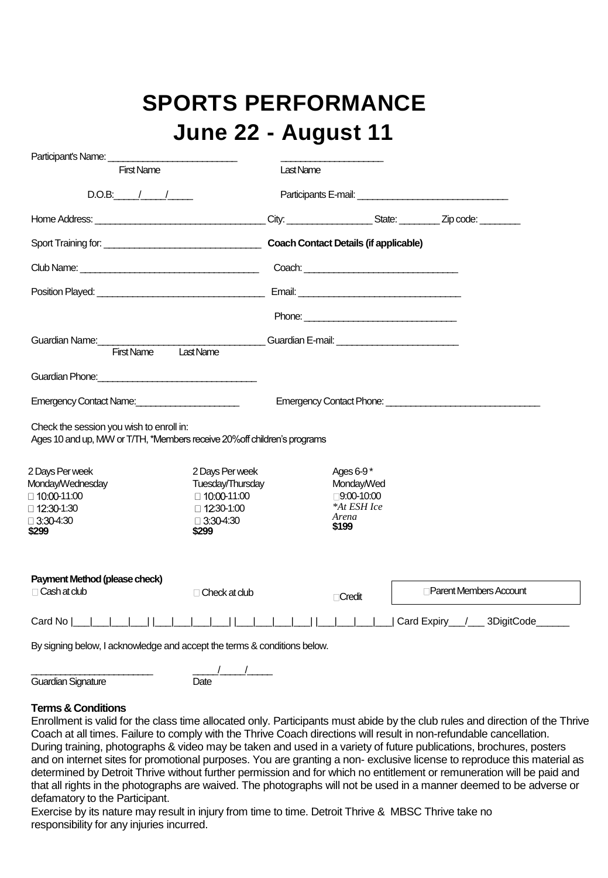# **SPORTS PERFORMANCE June 22 - August 11**

| <b>First Name</b>                                                                                                    |                                     | Last Name       |             |                        |  |
|----------------------------------------------------------------------------------------------------------------------|-------------------------------------|-----------------|-------------|------------------------|--|
| $D.O.B:$ / /                                                                                                         |                                     |                 |             |                        |  |
|                                                                                                                      |                                     |                 |             |                        |  |
|                                                                                                                      |                                     |                 |             |                        |  |
|                                                                                                                      |                                     |                 |             |                        |  |
|                                                                                                                      |                                     |                 |             |                        |  |
|                                                                                                                      |                                     |                 |             |                        |  |
| Last Name<br><b>First Name</b>                                                                                       |                                     |                 |             |                        |  |
| Guardian Phone: <b>Example 2014</b>                                                                                  |                                     |                 |             |                        |  |
| Emergency Contact Name:                                                                                              |                                     |                 |             |                        |  |
|                                                                                                                      |                                     |                 |             |                        |  |
| Check the session you wish to enroll in:<br>Ages 10 and up, MW or T/TH, *Members receive 20% off children's programs |                                     |                 |             |                        |  |
|                                                                                                                      |                                     |                 |             |                        |  |
|                                                                                                                      | 2 Days Per week<br>Tuesday/Thursday | Ages 6-9*       | Monday/Wed  |                        |  |
|                                                                                                                      | □ 10:00-11:00                       |                 | □9:00-10:00 |                        |  |
|                                                                                                                      | $\Box$ 12:30-1:00                   |                 | *At ESH Ice |                        |  |
| 2 Days Per week<br>Monday/Wednesday<br>□ 10:00-11:00<br>□ 12:30-1:30<br>$\Box$ 3:30-4:30<br>\$299                    | $\Box$ 3:30-4:30<br>\$299           | Arena<br>\$199  |             |                        |  |
|                                                                                                                      |                                     |                 |             |                        |  |
| Payment Method (please check)                                                                                        |                                     |                 |             |                        |  |
| □ Cash at dub                                                                                                        | $\Box$ Check at dub                 | <b>□ Credit</b> |             | Parent Members Account |  |

 $\overline{\phantom{a}}$  ,  $\overline{\phantom{a}}$  ,  $\overline{\phantom{a}}$  ,  $\overline{\phantom{a}}$  ,  $\overline{\phantom{a}}$  ,  $\overline{\phantom{a}}$  ,  $\overline{\phantom{a}}$  ,  $\overline{\phantom{a}}$  ,  $\overline{\phantom{a}}$  ,  $\overline{\phantom{a}}$  ,  $\overline{\phantom{a}}$  ,  $\overline{\phantom{a}}$  ,  $\overline{\phantom{a}}$  ,  $\overline{\phantom{a}}$  ,  $\overline{\phantom{a}}$  ,  $\overline{\phantom{a}}$ 

Guardian Signature **Date** 

#### **Terms & Conditions**

Enrollment is valid for the class time allocated only. Participants must abide by the club rules and direction of the Thrive Coach at all times. Failure to comply with the Thrive Coach directions will result in non-refundable cancellation. During training, photographs & video may be taken and used in a variety of future publications, brochures, posters and on internet sites for promotional purposes. You are granting a non- exclusive license to reproduce this material as determined by Detroit Thrive without further permission and for which no entitlement or remuneration will be paid and that all rights in the photographs are waived. The photographs will not be used in a manner deemed to be adverse or defamatory to the Participant.

Exercise by its nature may result in injury from time to time. Detroit Thrive & MBSC Thrive take no responsibility for any injuries incurred.